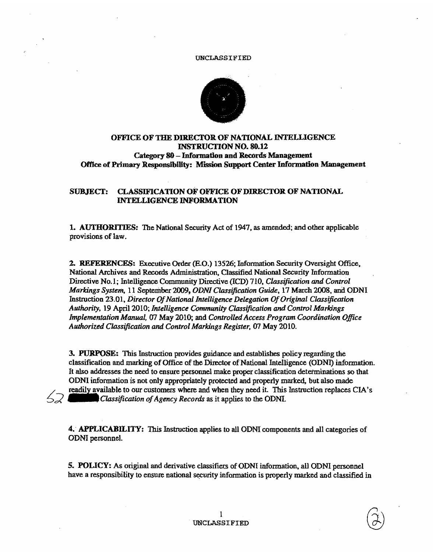

# OFFICE OF THE DIRECTOR OF NATIONAL INTELLIGENCE INSTRUCTION NO. 80.12 Category 80 - Information and Records Management Office of Primary Responsibility: Mission Support Center Information Management

## SUBJECT: CLASSIFICATION OF OFFICE OF DIRECTOR OF NATIONAL INTELLIGENCE INFORMATION

1. AUTHORITIES: The National Security Act of 1947, as amended; and other applicable provisions of law.

2. REFERENCES: Executive Order (E.O.) 13526; Information Security Oversight Office, National Archives and Records Administration, Classified National Security Information Directive No.1; Intelligence Community Directive (lCD) 710, *Classification* and *Control Markings System,* 11 September 2009, *ODNJ Classification Guide,* 17 March 2008, and ODNI Instruction 23.01. *Director Of National Intelligence Delegation Of Original Classification Authority,* 19 April 2010; *Intelligence Community Classification and Control Markings Implementation Manual,* 07 May 2010; and *Controlled Access Program Coordination Office*  Authorized Classification and Control Markings Register, 07 May 2010.

3. PURPOSE: This Instruction provides guidance and establishes policy regarding the classification and marking of Office of the Director of National Intelligence (ODNI) information. It also addresses the need to ensure personnel make proper classification determinations so that OONI information is not only appropriately protected and properly marked, but also made readily available to our customers where and when they need it. This Instruction replaces CIA's Classification of Agency Records as it applies to the ODNI. ~:;( \_\_\_ *Classification of Agency Records* as it applies to the ODNl.

4. APPLICABILITY: This Instruction applies to all ODNI components and all categories of OONI personnel.

5. POLICY: As original and derivative classifiers of ODNI information, all ODNI personnel have a responsibility to ensure national security information is properly marked and classified in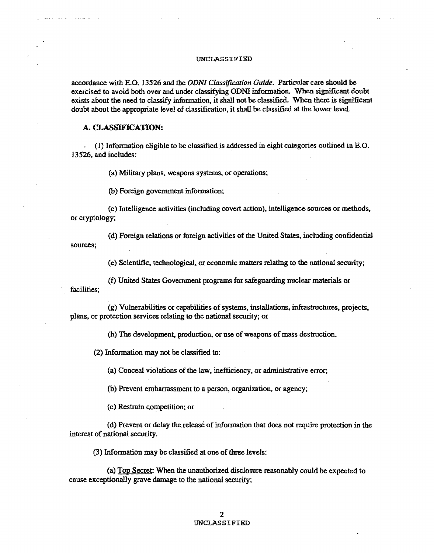### UNCLASSIFIED

accordance with E.O. 13526 and the *ODNI Classification Guide.* Particular care should be exercised to avoid both over and under classifying ODNI information. When significant doubt exists about the need to classify information, it shall not be classified. When there is significant doubt about the appropriate level of classification. it shall be classified at the lower level.

## A. CLASSIFICATION:

(1) Information eligible to be classified is addressed in eight categories outlined in E.O. 13526. and includes:

(a) Military plans, weapons systems, or operations;

(b) Foreign government information;

(c) Intelligence activities (including covert action), intelligence sources or methods. or cryptology;

(d) Foreign relations or foreign activities of the United States, including confidential sources;

(e) Scientific, technological, or economic matters relating to the national security;

(f) United States Government programs for safeguarding nuclear materials or facilities;

 $(g)$  Vulnerabilities or capabilities of systems, installations, infrastructures, projects, plans, or protection services relating to the national security; or

(h) The development, production. or use of weapons of mass destruction.

(2) Infonnation may not be classified to:

(a) Conceal violations of the law, inefficiency. or administrative error;

(b) Prevent embarrassment to a person, organization, or agency;

(c) Restrain competition; or

(d) Prevent or delay the release of information that does not require protection in the interest of national security.

(3) Information may be classified at one of three levels:

(a) Top Secret: When the unauthorized disclosure reasonably could be expected to cause exceptionally grave damage to the national security;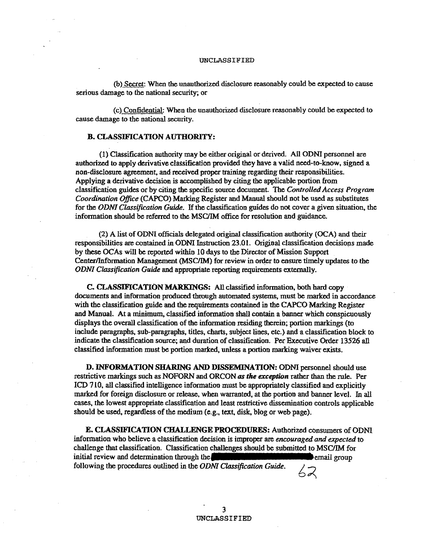(b) Secret: When the unauthorized disclosure reasonably could be expected to cause serious damage to the national security; or

(c) Confidential: When the unauthorized disclosure reasonably could be expected to cause damage to the national security.

## B. CLASSIFICATION AUTHORITY:

(1) Classification authority may be either original or derived. All ODN! personnel are authorized to apply derivative classification provided they have a valid need-to-know, signed a non-disclosure agreement, and received proper training regarding their responsibilities. Applying a derivative decision is accomplished by citing the applicable portion from classification guides or by citing the specific source document. The *Controlled Access Program Coordination Office* (CAPCO) Marking Register and Manual should not be used as substitutes for the *ODNI Classification Guide.* If the classification guides do not cover a given situation. the infonnation should be referred to the MSCIIM office for resolution and guidance.

(2) A list of ODNI officials delegated original classification authority (OCA) and their responsibilities are contained in ODNI Instruction 23.01. Original classification decisions made by these ocAs will be reported wirhin 10 days to the Director of Mission Support Center/Information Management (MSC/IM) for review in order to ensure timely updates to the *ODNI Classification Guide* and appropriate reporting requirements externally.

C. CLASSIFICATION MARKINGS: All classified information. both hard copy documents and information produced through automated systems, must be marked in accordance with the classification guide and the requirements contained in the CAPCO Marking Register and Manual. At a minimum, classified information shall contain a banner which conspicuously displays the overall classification of the infonnation residing therein; portion markings (to include paragraphs. sub-paragraphs. titles, charts. subject lines. etc.) and a classification block to indicate the classification source; and duration of classification. Per Executive Order 13526 all classified information must be portion marked, unless a portion marking waiver exists.

D. INFORMATION SHARING AND DISSEMINATION: ODNI personnel should use restrictive markings such as NOFORN and ORCON *as the exception* rather than the rule. Per ICD 710, all classified intelligence information must be appropriately classified and explicitly marked for foreign disclosure or release. when warranted. at the portion and banner level. In all cases, the lowest appropriate classification and least restrictive dissemination controls applicable should be used, regardless of the medium (e.g., text, disk, blog or web page).

E. CLASSIFICATION CHALLENGE PROCEDURES: Authorized consumers of ODNI information who believe a classification decision is improper are *encouraged and expected* to challenge that classification. Classification challenges should be submitted to MSC/JM for initial review and determination through the example of the email group following the procedures outlined in the *ODNI Classification Guide*.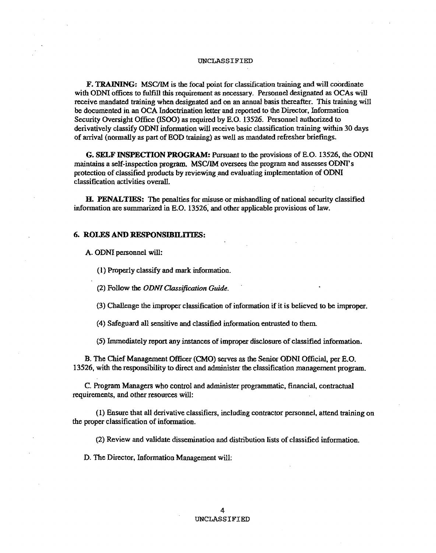F. TRAINING: MSClIM is the focal point for classification training and will coordinate with ODNI offices to fulfill this requirement as necessary. Personnel designated as OCAs will receive mandated training when designated and on an annual basis thereafter. This training will be documented in an OCA Indoctrination letter and reported to the Director, Infonnation Security Oversight Office (!SOO) as required by E.O. 13526. Personnel authorized to derivatively classify ODNI information will receive basic classification training within 30 days of arrival (normally as part of EOD training) as weU as mandated refresher briefings.

G. SELF INSPECfION PROGRAM: Pursuant to the provisions of E.O. 13526, the ODNI maintains a self-inspection program. MSClIM oversees the program and assesses ODNI's protection of classified products by reviewing and evaluating implementation of ODNI classification activities overall.

H. PENALTIES: The penalties for misuse or mishandling of national security classified information are summarized in E.O. 13526~ and other applicable provisions of law.

### 6. ROLES AND RESPONSIBILITIES:

A. ODNI personnel will:

(1) Properly classify and mark infonnation.

(2) Follow the *ODNI Classification Guide.* 

(3) Challenge the improper classification of information if it is believed to be improper.

(4) Safeguard all sensitive and classified information entrusted to them.

(5) Immediately report any instances of improper disclosure of classified information.

B. The Chief Management Officer (CMO) serves as the Senior ODNI Official, per E.O. 13526, with the responsibility to direct and administer the classification management program..

C. Program Managers who control and administer programmatic, financial, contractual requirements, and other resources will:

(1) Ensure that all derivative classifiers, including contractor personneJ, attend training on the proper classification of information.

(2) Review and validate dissemination and distribution lists of classified information.

D. The Director. Information Management will: